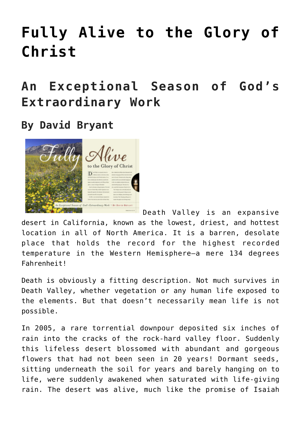# **[Fully Alive to the Glory of](https://www.prayerleader.com/fully-alive-to-the-glory-of-christ/) [Christ](https://www.prayerleader.com/fully-alive-to-the-glory-of-christ/)**

## **An Exceptional Season of God's Extraordinary Work**

### **By David Bryant**



Death Valley is an expansive desert in California, known as the lowest, driest, and hottest location in all of North America. It is a barren, desolate place that holds the record for the highest recorded temperature in the Western Hemisphere—a mere 134 degrees Fahrenheit!

Death is obviously a fitting description. Not much survives in Death Valley, whether vegetation or any human life exposed to the elements. But that doesn't necessarily mean life is not possible.

In 2005, a rare torrential downpour deposited six inches of rain into the cracks of the rock-hard valley floor. Suddenly this lifeless desert blossomed with abundant and gorgeous flowers that had not been seen in 20 years! Dormant seeds, sitting underneath the soil for years and barely hanging on to life, were suddenly awakened when saturated with life-giving rain. The desert was alive, much like the promise of Isaiah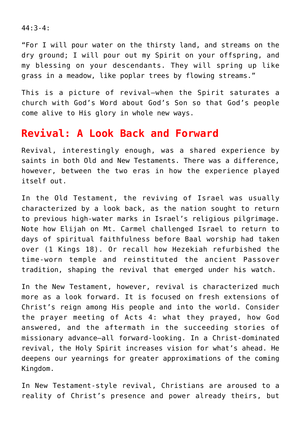44:3-4:

"For I will pour water on the thirsty land, and streams on the dry ground; I will pour out my Spirit on your offspring, and my blessing on your descendants. They will spring up like grass in a meadow, like poplar trees by flowing streams."

This is a picture of revival—when the Spirit saturates a church with God's Word about God's Son so that God's people come alive to His glory in whole new ways.

#### **Revival: A Look Back and Forward**

Revival, interestingly enough, was a shared experience by saints in both Old and New Testaments. There was a difference, however, between the two eras in how the experience played itself out.

In the Old Testament, the reviving of Israel was usually characterized by a look back, as the nation sought to return to previous high‑water marks in Israel's religious pilgrimage. Note how Elijah on Mt. Carmel challenged Israel to return to days of spiritual faithfulness before Baal worship had taken over (1 Kings 18). Or recall how Hezekiah refurbished the time-worn temple and reinstituted the ancient Passover tradition, shaping the revival that emerged under his watch.

In the New Testament, however, revival is characterized much more as a look forward. It is focused on fresh extensions of Christ's reign among His people and into the world. Consider the prayer meeting of Acts 4: what they prayed, how God answered, and the aftermath in the succeeding stories of missionary advance-all forward-looking. In a Christ-dominated revival, the Holy Spirit increases vision for what's ahead. He deepens our yearnings for greater approximations of the coming Kingdom.

In New Testament-style revival, Christians are aroused to a reality of Christ's presence and power already theirs, but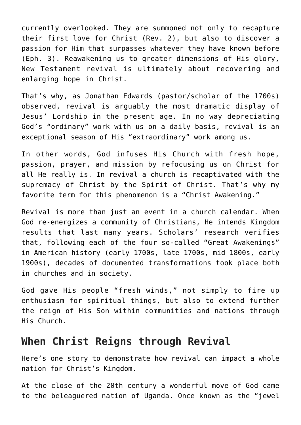currently overlooked. They are summoned not only to recapture their first love for Christ (Rev. 2), but also to discover a passion for Him that surpasses whatever they have known before (Eph. 3). Reawakening us to greater dimensions of His glory, New Testament revival is ultimately about recovering and enlarging hope in Christ.

That's why, as Jonathan Edwards (pastor/scholar of the 1700s) observed, revival is arguably the most dramatic display of Jesus' Lordship in the present age. In no way depreciating God's "ordinary" work with us on a daily basis, revival is an exceptional season of His "extraordinary" work among us.

In other words, God infuses His Church with fresh hope, passion, prayer, and mission by refocusing us on Christ for all He really is. In revival a church is recaptivated with the supremacy of Christ by the Spirit of Christ. That's why my favorite term for this phenomenon is a "Christ Awakening."

Revival is more than just an event in a church calendar. When God re‑energizes a community of Christians, He intends Kingdom results that last many years. Scholars' research verifies that, following each of the four so-called "Great Awakenings" in American history (early 1700s, late 1700s, mid 1800s, early 1900s), decades of documented transformations took place both in churches and in society.

God gave His people "fresh winds," not simply to fire up enthusiasm for spiritual things, but also to extend further the reign of His Son within communities and nations through His Church.

#### **When Christ Reigns through Revival**

Here's one story to demonstrate how revival can impact a whole nation for Christ's Kingdom.

At the close of the 20th century a wonderful move of God came to the beleaguered nation of Uganda. Once known as the "jewel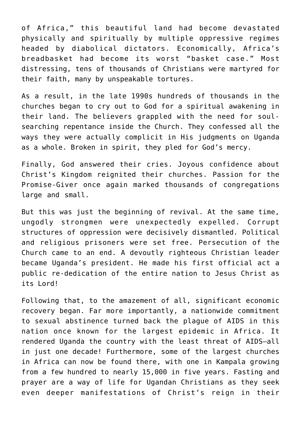of Africa," this beautiful land had become devastated physically and spiritually by multiple oppressive regimes headed by diabolical dictators. Economically, Africa's breadbasket had become its worst "basket case." Most distressing, tens of thousands of Christians were martyred for their faith, many by unspeakable tortures.

As a result, in the late 1990s hundreds of thousands in the churches began to cry out to God for a spiritual awakening in their land. The believers grappled with the need for soulsearching repentance inside the Church. They confessed all the ways they were actually complicit in His judgments on Uganda as a whole. Broken in spirit, they pled for God's mercy.

Finally, God answered their cries. Joyous confidence about Christ's Kingdom reignited their churches. Passion for the Promise-Giver once again marked thousands of congregations large and small.

But this was just the beginning of revival. At the same time, ungodly strongmen were unexpectedly expelled. Corrupt structures of oppression were decisively dismantled. Political and religious prisoners were set free. Persecution of the Church came to an end. A devoutly righteous Christian leader became Uganda's president. He made his first official act a public re-dedication of the entire nation to Jesus Christ as its Lord!

Following that, to the amazement of all, significant economic recovery began. Far more importantly, a nationwide commitment to sexual abstinence turned back the plague of AIDS in this nation once known for the largest epidemic in Africa. It rendered Uganda the country with the least threat of AIDS—all in just one decade! Furthermore, some of the largest churches in Africa can now be found there, with one in Kampala growing from a few hundred to nearly 15,000 in five years. Fasting and prayer are a way of life for Ugandan Christians as they seek even deeper manifestations of Christ's reign in their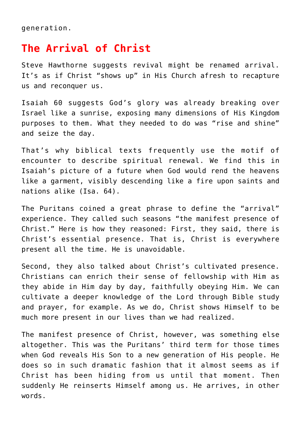generation.

#### **The Arrival of Christ**

Steve Hawthorne suggests revival might be renamed arrival. It's as if Christ "shows up" in His Church afresh to recapture us and reconquer us.

Isaiah 60 suggests God's glory was already breaking over Israel like a sunrise, exposing many dimensions of His Kingdom purposes to them. What they needed to do was "rise and shine" and seize the day.

That's why biblical texts frequently use the motif of encounter to describe spiritual renewal. We find this in Isaiah's picture of a future when God would rend the heavens like a garment, visibly descending like a fire upon saints and nations alike (Isa. 64).

The Puritans coined a great phrase to define the "arrival" experience. They called such seasons "the manifest presence of Christ." Here is how they reasoned: First, they said, there is Christ's essential presence. That is, Christ is everywhere present all the time. He is unavoidable.

Second, they also talked about Christ's cultivated presence. Christians can enrich their sense of fellowship with Him as they abide in Him day by day, faithfully obeying Him. We can cultivate a deeper knowledge of the Lord through Bible study and prayer, for example. As we do, Christ shows Himself to be much more present in our lives than we had realized.

The manifest presence of Christ, however, was something else altogether. This was the Puritans' third term for those times when God reveals His Son to a new generation of His people. He does so in such dramatic fashion that it almost seems as if Christ has been hiding from us until that moment. Then suddenly He reinserts Himself among us. He arrives, in other words.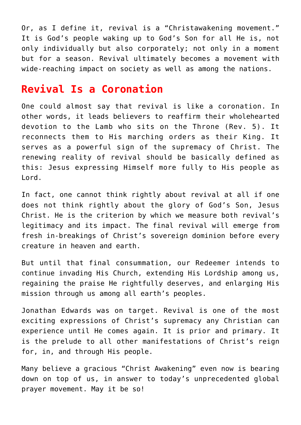Or, as I define it, revival is a "Christawakening movement." It is God's people waking up to God's Son for all He is, not only individually but also corporately; not only in a moment but for a season. Revival ultimately becomes a movement with wide-reaching impact on society as well as among the nations.

#### **Revival Is a Coronation**

One could almost say that revival is like a coronation. In other words, it leads believers to reaffirm their wholehearted devotion to the Lamb who sits on the Throne (Rev. 5). It reconnects them to His marching orders as their King. It serves as a powerful sign of the supremacy of Christ. The renewing reality of revival should be basically defined as this: Jesus expressing Himself more fully to His people as Lord.

In fact, one cannot think rightly about revival at all if one does not think rightly about the glory of God's Son, Jesus Christ. He is the criterion by which we measure both revival's legitimacy and its impact. The final revival will emerge from fresh in-breakings of Christ's sovereign dominion before every creature in heaven and earth.

But until that final consummation, our Redeemer intends to continue invading His Church, extending His Lordship among us, regaining the praise He rightfully deserves, and enlarging His mission through us among all earth's peoples.

Jonathan Edwards was on target. Revival is one of the most exciting expressions of Christ's supremacy any Christian can experience until He comes again. It is prior and primary. It is the prelude to all other manifestations of Christ's reign for, in, and through His people.

Many believe a gracious "Christ Awakening" even now is bearing down on top of us, in answer to today's unprecedented global prayer movement. May it be so!